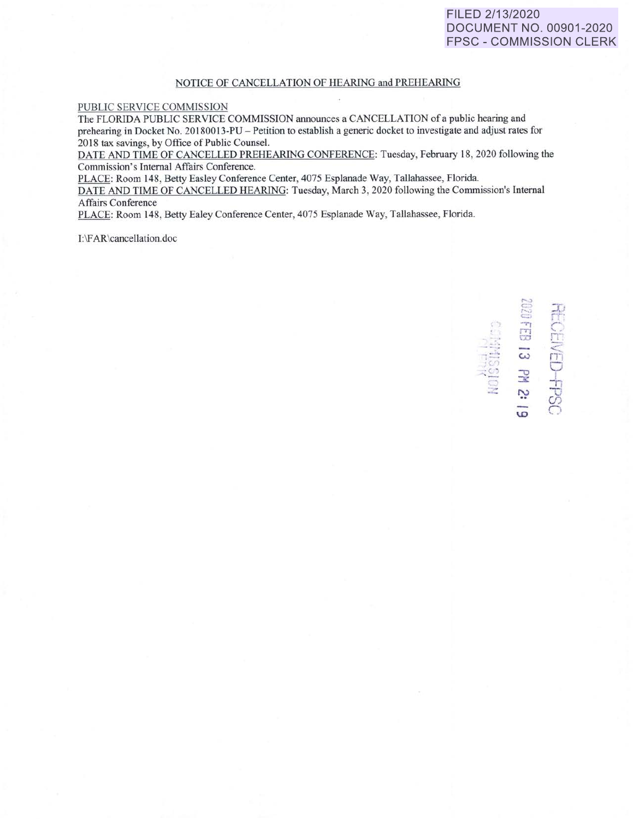## FILED 2/13/2020 **DOCUMENT NO. 00901-2020 FPSC - COMMISSION CLERK**

## NOTICE OF CANCELLATION OF HEARING and PREHEARING

## PUBLIC SERVICE COMMISSION

The FLORIDA PUBLIC SERVICE COMMISSION announces a CANCELLATION of a public hearing and prehearing in Docket No. 20180013-PU – Petition to establish a generic docket to investigate and adjust rates for 2018 tax savings, by Office of Public Counsel.

DATE AND TIME OF CANCELLED PREHEARING CONFERENCE: Tuesday, February 18, 2020 following the Commission's Internal Affairs Conference.

PLACE: Room 148, Betty Easley Conference Center, 4075 Esplanade Way, Tallahassee, Florida.

DATE AND TIME OF CANCELLED HEARING: Tuesday, March 3, 2020 following the Commission's Internal Affairs Conference

PLACE: Room 148, Betty Ealey Conference Center, 4075 Esplanade Way, Tallahassee, Florida.

I:\FAR\cancellation.doc

**GEIVED-FPSC**<br>2020 FB 13 PM 2: 19 NOISSINNE